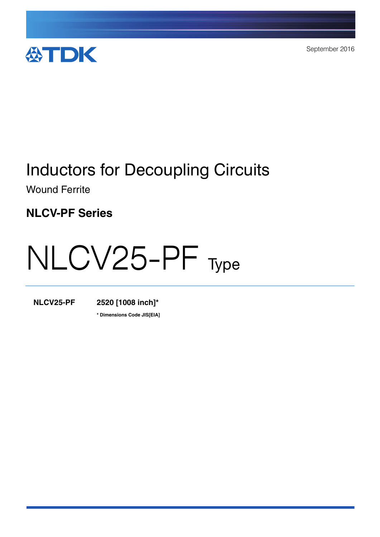

September 2016

# Inductors for Decoupling Circuits

Wound Ferrite

**NLCV-PF Series**

# NLCV25-PF Type

**NLCV25-PF 2520 [1008 inch]\***

**\* Dimensions Code JIS[EIA]**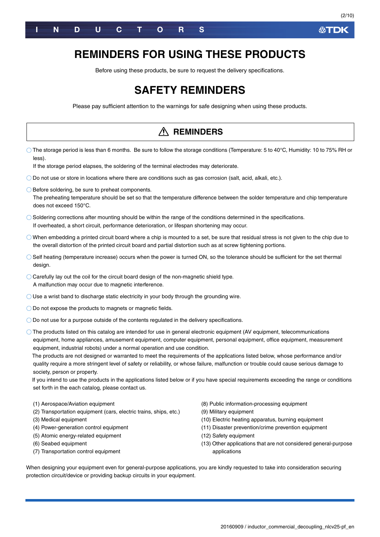

### **REMINDERS FOR USING THESE PRODUCTS**

Before using these products, be sure to request the delivery specifications.

### **SAFETY REMINDERS**

Please pay sufficient attention to the warnings for safe designing when using these products.

| <b>REMINDERS</b>                                                                                                                                                                                                                                                                                                                                                                                                                                                                                                                                                                                                                                                                                                                                                                                                                                                    |                                                                                                                                                                                                                                                                                                |  |  |  |  |  |  |
|---------------------------------------------------------------------------------------------------------------------------------------------------------------------------------------------------------------------------------------------------------------------------------------------------------------------------------------------------------------------------------------------------------------------------------------------------------------------------------------------------------------------------------------------------------------------------------------------------------------------------------------------------------------------------------------------------------------------------------------------------------------------------------------------------------------------------------------------------------------------|------------------------------------------------------------------------------------------------------------------------------------------------------------------------------------------------------------------------------------------------------------------------------------------------|--|--|--|--|--|--|
| The storage period is less than 6 months. Be sure to follow the storage conditions (Temperature: 5 to 40°C, Humidity: 10 to 75% RH or<br>less).<br>If the storage period elapses, the soldering of the terminal electrodes may deteriorate.                                                                                                                                                                                                                                                                                                                                                                                                                                                                                                                                                                                                                         |                                                                                                                                                                                                                                                                                                |  |  |  |  |  |  |
|                                                                                                                                                                                                                                                                                                                                                                                                                                                                                                                                                                                                                                                                                                                                                                                                                                                                     |                                                                                                                                                                                                                                                                                                |  |  |  |  |  |  |
| $\bigcirc$ Do not use or store in locations where there are conditions such as gas corrosion (salt, acid, alkali, etc.).                                                                                                                                                                                                                                                                                                                                                                                                                                                                                                                                                                                                                                                                                                                                            |                                                                                                                                                                                                                                                                                                |  |  |  |  |  |  |
| ◯ Before soldering, be sure to preheat components.<br>The preheating temperature should be set so that the temperature difference between the solder temperature and chip temperature<br>does not exceed 150°C.                                                                                                                                                                                                                                                                                                                                                                                                                                                                                                                                                                                                                                                     |                                                                                                                                                                                                                                                                                                |  |  |  |  |  |  |
| $\bigcirc$ Soldering corrections after mounting should be within the range of the conditions determined in the specifications.<br>If overheated, a short circuit, performance deterioration, or lifespan shortening may occur.                                                                                                                                                                                                                                                                                                                                                                                                                                                                                                                                                                                                                                      |                                                                                                                                                                                                                                                                                                |  |  |  |  |  |  |
| $\bigcirc$ When embedding a printed circuit board where a chip is mounted to a set, be sure that residual stress is not given to the chip due to<br>the overall distortion of the printed circuit board and partial distortion such as at screw tightening portions.                                                                                                                                                                                                                                                                                                                                                                                                                                                                                                                                                                                                |                                                                                                                                                                                                                                                                                                |  |  |  |  |  |  |
| Self heating (temperature increase) occurs when the power is turned ON, so the tolerance should be sufficient for the set thermal<br>design.                                                                                                                                                                                                                                                                                                                                                                                                                                                                                                                                                                                                                                                                                                                        |                                                                                                                                                                                                                                                                                                |  |  |  |  |  |  |
| $\bigcirc$ Carefully lay out the coil for the circuit board design of the non-magnetic shield type.<br>A malfunction may occur due to magnetic interference.                                                                                                                                                                                                                                                                                                                                                                                                                                                                                                                                                                                                                                                                                                        |                                                                                                                                                                                                                                                                                                |  |  |  |  |  |  |
| $\bigcirc$ Use a wrist band to discharge static electricity in your body through the grounding wire.                                                                                                                                                                                                                                                                                                                                                                                                                                                                                                                                                                                                                                                                                                                                                                |                                                                                                                                                                                                                                                                                                |  |  |  |  |  |  |
| $\bigcirc$ Do not expose the products to magnets or magnetic fields.                                                                                                                                                                                                                                                                                                                                                                                                                                                                                                                                                                                                                                                                                                                                                                                                |                                                                                                                                                                                                                                                                                                |  |  |  |  |  |  |
| $\bigcirc$ Do not use for a purpose outside of the contents regulated in the delivery specifications.                                                                                                                                                                                                                                                                                                                                                                                                                                                                                                                                                                                                                                                                                                                                                               |                                                                                                                                                                                                                                                                                                |  |  |  |  |  |  |
| $\circlearrowright$ The products listed on this catalog are intended for use in general electronic equipment (AV equipment, telecommunications<br>equipment, home appliances, amusement equipment, computer equipment, personal equipment, office equipment, measurement<br>equipment, industrial robots) under a normal operation and use condition.<br>The products are not designed or warranted to meet the requirements of the applications listed below, whose performance and/or<br>quality require a more stringent level of safety or reliability, or whose failure, malfunction or trouble could cause serious damage to<br>society, person or property.<br>If you intend to use the products in the applications listed below or if you have special requirements exceeding the range or conditions<br>set forth in the each catalog, please contact us. |                                                                                                                                                                                                                                                                                                |  |  |  |  |  |  |
| (1) Aerospace/Aviation equipment<br>(2) Transportation equipment (cars, electric trains, ships, etc.)<br>(3) Medical equipment<br>(4) Power-generation control equipment<br>(5) Atomic energy-related equipment<br>(6) Seabed equipment<br>(7) Transportation control equipment<br>When designing your equipment even for general-purpose applications, you are kindly requested to take into consideration securing                                                                                                                                                                                                                                                                                                                                                                                                                                                | (8) Public information-processing equipment<br>(9) Military equipment<br>(10) Electric heating apparatus, burning equipment<br>(11) Disaster prevention/crime prevention equipment<br>(12) Safety equipment<br>(13) Other applications that are not considered general-purpose<br>applications |  |  |  |  |  |  |
| protection circuit/device or providing backup circuits in your equipment.                                                                                                                                                                                                                                                                                                                                                                                                                                                                                                                                                                                                                                                                                                                                                                                           |                                                                                                                                                                                                                                                                                                |  |  |  |  |  |  |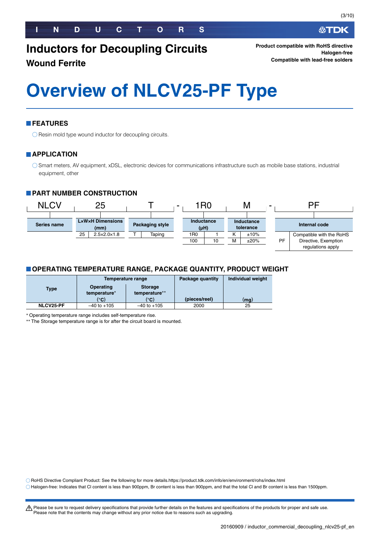**Product compatible with RoHS directive Halogen-free Compatible with lead-free solders**

# **Overview of NLCV25-PF Type**

#### **FEATURES**

 $\bigcirc$  Resin mold type wound inductor for decoupling circuits.

#### **APPLICATION**

Smart meters, AV equipment, xDSL, electronic devices for communications infrastructure such as mobile base stations, industrial equipment, other

#### **PART NUMBER CONSTRUCTION**



#### **OPERATING TEMPERATURE RANGE, PACKAGE QUANTITY, PRODUCT WEIGHT**

|                  |                                                              | Temperature range | Package quantity | Individual weight |
|------------------|--------------------------------------------------------------|-------------------|------------------|-------------------|
| <b>Type</b>      | Operating<br><b>Storage</b><br>temperature**<br>temperature* |                   |                  |                   |
|                  | (°C)                                                         | (°C)              | (pieces/reel)    | (mq)              |
| <b>NLCV25-PF</b> | $-40$ to $+105$                                              | $-40$ to $+105$   | 2000             | 25                |

Operating temperature range includes self-temperature rise.

The Storage temperature range is for after the circuit board is mounted.

RoHS Directive Compliant Product: See the following for more details.https://product.tdk.com/info/en/environment/rohs/index.html

Please note that the contents may change without any prior notice due to reasons such as upgrading.

Halogen-free: Indicates that Cl content is less than 900ppm, Br content is less than 900ppm, and that the total Cl and Br content is less than 1500ppm.

t Please be sure to request delivery specifications that provide further details on the features and specifications of the products for proper and safe use.

(3/10)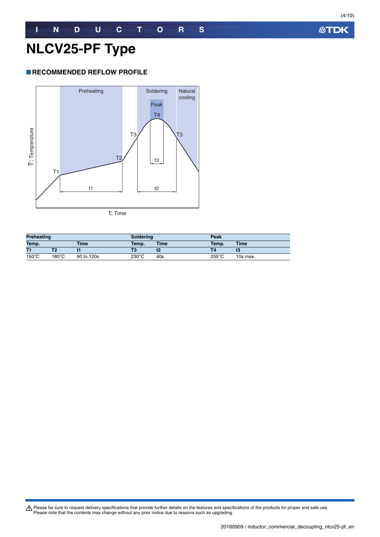**公TDK** 

# **NLCV25-PF Type**

#### **RECOMMENDED REFLOW PROFILE**



| <b>Preheating</b> |       | <b>Soldering</b> |                 | Peak  |                 |          |
|-------------------|-------|------------------|-----------------|-------|-----------------|----------|
| Temp.<br>Time     |       | Temp.            | <b>Time</b>     | Temp. | <b>Time</b>     |          |
| T1                |       |                  | Т3              | t2    |                 | 13       |
| $150^{\circ}$ C   | 180°C | 90 to 120s       | $230^{\circ}$ C | 40s   | $255^{\circ}$ C | 10s max. |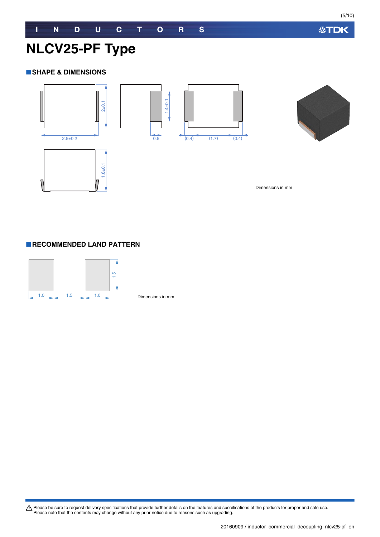**公TDK** 

# **NLCV25-PF Type**

#### **SHAPE & DIMENSIONS**





Dimensions in mm

#### **RECOMMENDED LAND PATTERN**



Dimensions in mm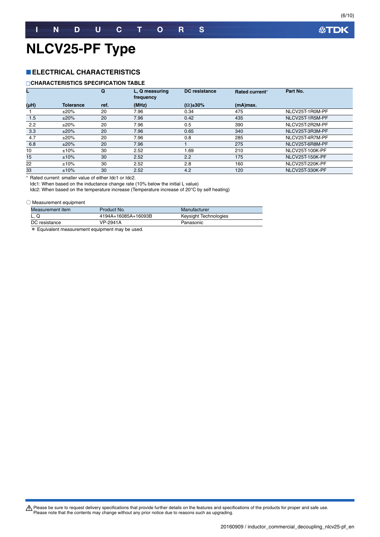# **NLCV25-PF Type**

#### **ELECTRICAL CHARACTERISTICS**

#### **CHARACTERISTICS SPECIFICATION TABLE**

|                 | Q                |      | L, Q measuring<br>frequency | DC resistance       |             | Part No.               |
|-----------------|------------------|------|-----------------------------|---------------------|-------------|------------------------|
| (Hu)            | <b>Tolerance</b> | ref. | (MHz)                       | $(\Omega) \pm 30\%$ | $(mA)$ max. |                        |
|                 | ±20%             | 20   | 7.96                        | 0.34                | 475         | NLCV25T-1R0M-PF        |
| 1.5             | ±20%             | 20   | 7.96                        | 0.42                | 435         | NLCV25T-1R5M-PF        |
| 2.2             | ±20%             | 20   | 7.96                        | 0.5                 | 390         | NLCV25T-2R2M-PF        |
| 3.3             | ±20%             | 20   | 7.96                        | 0.65                | 340         | NLCV25T-3R3M-PF        |
| 4.7             | ±20%             | 20   | 7.96                        | 0.8                 | 285         | NLCV25T-4R7M-PF        |
| 6.8             | ±20%             | 20   | 7.96                        |                     | 275         | NLCV25T-6R8M-PF        |
| 10              | ±10%             | 30   | 2.52                        | 1.69                | 210         | NLCV25T-100K-PF        |
| 15 <sup>1</sup> | ±10%             | 30   | 2.52                        | 2.2                 | 175         | <b>NLCV25T-150K-PF</b> |
| 22              | ±10%             | 30   | 2.52                        | 2.8                 | 160         | NLCV25T-220K-PF        |
| 33              | ±10%             | 30   | 2.52                        | 4.2                 | 120         | NLCV25T-330K-PF        |

\* Rated current: smaller value of either Idc1 or Idc2.

Idc1: When based on the inductance change rate (10% below the initial L value)

Idc2: When based on the temperature increase (Temperature increase of 20°C by self heating)

#### ○ Measurement equipment

| Measurement item | Product No.         | Manufacturer          |
|------------------|---------------------|-----------------------|
| L. Q             | 4194A+16085A+16093B | Keysight Technologies |
| DC resistance    | VP-2941A            | Panasonic             |

\* Equivalent measurement equipment may be used.

Please be sure to request delivery specifications that provide further details on the features and specifications of the products for proper and safe use.<br>Please note that the contents may change without any prior notice d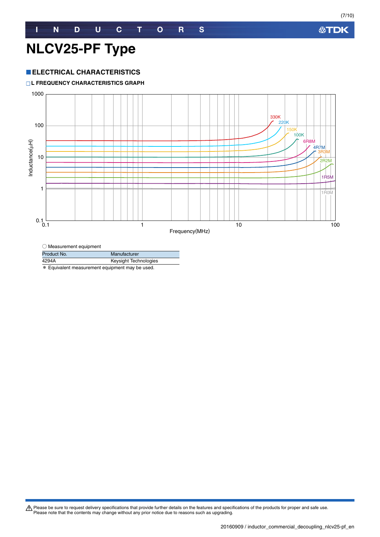# **NLCV25-PF Type**

#### **ELECTRICAL CHARACTERISTICS**

**L FREQUENCY CHARACTERISTICS GRAPH**



 $\bigcirc$  Measurement equipment

| Product No.                                     | Manufacturer          |  |  |  |
|-------------------------------------------------|-----------------------|--|--|--|
| 4294A                                           | Keysight Technologies |  |  |  |
| * Equivalent measurement equipment may be used. |                       |  |  |  |

Please be sure to request delivery specifications that provide further details on the features and specifications of the products for proper and safe use.<br>Please note that the contents may change without any prior notice d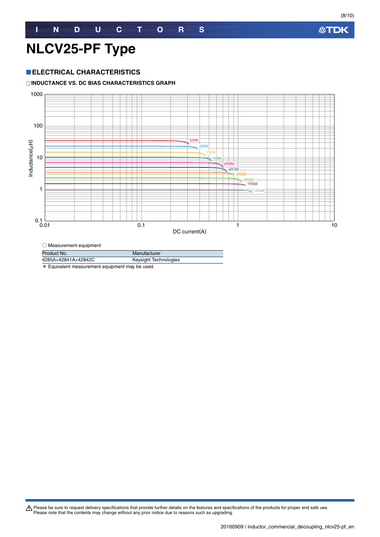(8/10)

# **NLCV25-PF Type**

#### **ELECTRICAL CHARACTERISTICS**

#### **INDUCTANCE VS. DC BIAS CHARACTERISTICS GRAPH**



| Product No.                                          | Manufacturer          |  |  |  |  |
|------------------------------------------------------|-----------------------|--|--|--|--|
| 4285A+42841A+42842C                                  | Keysight Technologies |  |  |  |  |
| $\star$ Equivalent measurement equipment may be used |                       |  |  |  |  |

\* Equivalent measurement equipment may be used.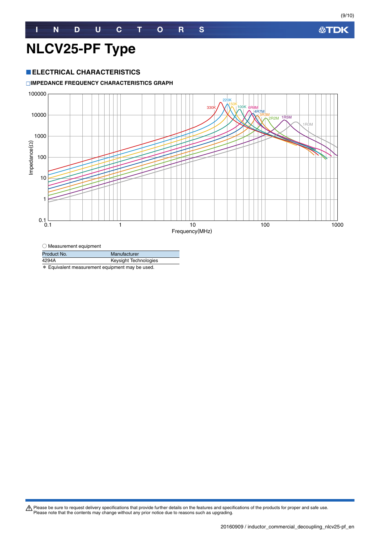#### **ELECTRICAL CHARACTERISTICS**

#### **IMPEDANCE FREQUENCY CHARACTERISTICS GRAPH**



| $\bigcirc$ Measurement equipment               |                       |  |  |  |  |  |
|------------------------------------------------|-----------------------|--|--|--|--|--|
| Product No.                                    | Manufacturer          |  |  |  |  |  |
| 4294A                                          | Keysight Technologies |  |  |  |  |  |
| * Equivalent measurement equipment may be used |                       |  |  |  |  |  |

urement equipment may be used.

Please be sure to request delivery specifications that provide further details on the features and specifications of the products for proper and safe use.<br>Please note that the contents may change without any prior notice d